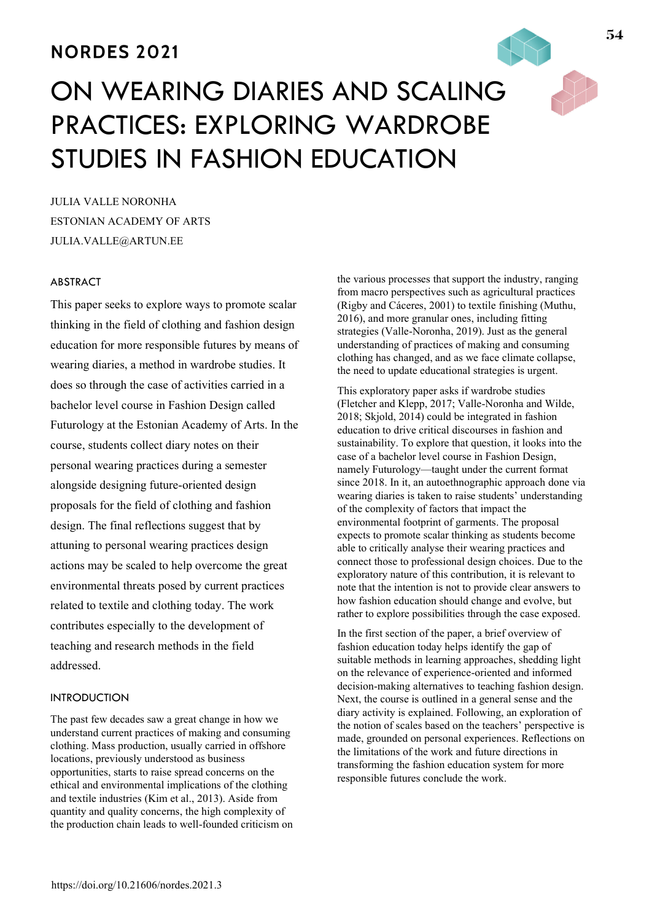# **NORDES 2021**

# ON WEARING DIARIES AND SCALING PRACTICES: EXPLORING WARDROBE STUDIES IN FASHION EDUCATION

JULIA VALLE NORONHA ESTONIAN ACADEMY OF ARTS JULIA.VALLE@ARTUN.EE

# ABSTRACT

This paper seeks to explore ways to promote scalar thinking in the field of clothing and fashion design education for more responsible futures by means of wearing diaries, a method in wardrobe studies. It does so through the case of activities carried in a bachelor level course in Fashion Design called Futurology at the Estonian Academy of Arts. In the course, students collect diary notes on their personal wearing practices during a semester alongside designing future-oriented design proposals for the field of clothing and fashion design. The final reflections suggest that by attuning to personal wearing practices design actions may be scaled to help overcome the great environmental threats posed by current practices related to textile and clothing today. The work contributes especially to the development of teaching and research methods in the field addressed.

# **INTRODUCTION**

The past few decades saw a great change in how we understand current practices of making and consuming clothing. Mass production, usually carried in offshore locations, previously understood as business opportunities, starts to raise spread concerns on the ethical and environmental implications of the clothing and textile industries (Kim et al., 2013). Aside from quantity and quality concerns, the high complexity of the production chain leads to well-founded criticism on the various processes that support the industry, ranging from macro perspectives such as agricultural practices (Rigby and Cáceres, 2001) to textile finishing (Muthu, 2016), and more granular ones, including fitting strategies (Valle-Noronha, 2019). Just as the general understanding of practices of making and consuming clothing has changed, and as we face climate collapse, the need to update educational strategies is urgent.

This exploratory paper asks if wardrobe studies (Fletcher and Klepp, 2017; Valle-Noronha and Wilde, 2018; Skjold, 2014) could be integrated in fashion education to drive critical discourses in fashion and sustainability. To explore that question, it looks into the case of a bachelor level course in Fashion Design, namely Futurology—taught under the current format since 2018. In it, an autoethnographic approach done via wearing diaries is taken to raise students' understanding of the complexity of factors that impact the environmental footprint of garments. The proposal expects to promote scalar thinking as students become able to critically analyse their wearing practices and connect those to professional design choices. Due to the exploratory nature of this contribution, it is relevant to note that the intention is not to provide clear answers to how fashion education should change and evolve, but rather to explore possibilities through the case exposed.

In the first section of the paper, a brief overview of fashion education today helps identify the gap of suitable methods in learning approaches, shedding light on the relevance of experience-oriented and informed decision-making alternatives to teaching fashion design. Next, the course is outlined in a general sense and the diary activity is explained. Following, an exploration of the notion of scales based on the teachers' perspective is made, grounded on personal experiences. Reflections on the limitations of the work and future directions in transforming the fashion education system for more responsible futures conclude the work.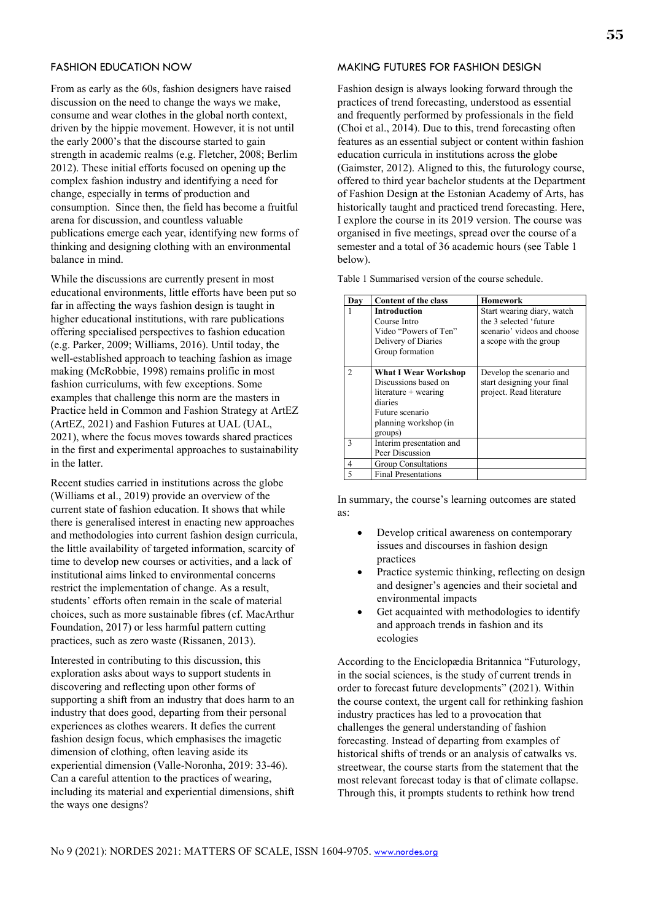#### FASHION EDUCATION NOW

From as early as the 60s, fashion designers have raised discussion on the need to change the ways we make, consume and wear clothes in the global north context, driven by the hippie movement. However, it is not until the early 2000's that the discourse started to gain strength in academic realms (e.g. Fletcher, 2008; Berlim 2012). These initial efforts focused on opening up the complex fashion industry and identifying a need for change, especially in terms of production and consumption. Since then, the field has become a fruitful arena for discussion, and countless valuable publications emerge each year, identifying new forms of thinking and designing clothing with an environmental balance in mind.

While the discussions are currently present in most educational environments, little efforts have been put so far in affecting the ways fashion design is taught in higher educational institutions, with rare publications offering specialised perspectives to fashion education (e.g. Parker, 2009; Williams, 2016). Until today, the well-established approach to teaching fashion as image making (McRobbie, 1998) remains prolific in most fashion curriculums, with few exceptions. Some examples that challenge this norm are the masters in Practice held in Common and Fashion Strategy at ArtEZ (ArtEZ, 2021) and Fashion Futures at UAL (UAL, 2021), where the focus moves towards shared practices in the first and experimental approaches to sustainability in the latter.

Recent studies carried in institutions across the globe (Williams et al., 2019) provide an overview of the current state of fashion education. It shows that while there is generalised interest in enacting new approaches and methodologies into current fashion design curricula, the little availability of targeted information, scarcity of time to develop new courses or activities, and a lack of institutional aims linked to environmental concerns restrict the implementation of change. As a result, students' efforts often remain in the scale of material choices, such as more sustainable fibres (cf. MacArthur Foundation, 2017) or less harmful pattern cutting practices, such as zero waste (Rissanen, 2013).

Interested in contributing to this discussion, this exploration asks about ways to support students in discovering and reflecting upon other forms of supporting a shift from an industry that does harm to an industry that does good, departing from their personal experiences as clothes wearers. It defies the current fashion design focus, which emphasises the imagetic dimension of clothing, often leaving aside its experiential dimension (Valle-Noronha, 2019: 33-46). Can a careful attention to the practices of wearing, including its material and experiential dimensions, shift the ways one designs?

# MAKING FUTURES FOR FASHION DESIGN

Fashion design is always looking forward through the practices of trend forecasting, understood as essential and frequently performed by professionals in the field (Choi et al., 2014). Due to this, trend forecasting often features as an essential subject or content within fashion education curricula in institutions across the globe (Gaimster, 2012). Aligned to this, the futurology course, offered to third year bachelor students at the Department of Fashion Design at the Estonian Academy of Arts, has historically taught and practiced trend forecasting. Here, I explore the course in its 2019 version. The course was organised in five meetings, spread over the course of a semester and a total of 36 academic hours (see Table 1 below).

Table 1 Summarised version of the course schedule.

| Dav          | <b>Content of the class</b>                                                                                                                     | Homework                                                                                                      |
|--------------|-------------------------------------------------------------------------------------------------------------------------------------------------|---------------------------------------------------------------------------------------------------------------|
|              | <b>Introduction</b><br>Course Intro<br>Video "Powers of Ten"<br>Delivery of Diaries<br>Group formation                                          | Start wearing diary, watch<br>the 3 selected 'future<br>scenario' videos and choose<br>a scope with the group |
|              | <b>What I Wear Workshop</b><br>Discussions based on<br>literature $+$ wearing<br>diaries<br>Future scenario<br>planning workshop (in<br>groups) | Develop the scenario and<br>start designing your final<br>project. Read literature                            |
| $\mathbf{3}$ | Interim presentation and<br>Peer Discussion                                                                                                     |                                                                                                               |
| 4            | Group Consultations                                                                                                                             |                                                                                                               |
|              | <b>Final Presentations</b>                                                                                                                      |                                                                                                               |

In summary, the course's learning outcomes are stated as:

- Develop critical awareness on contemporary issues and discourses in fashion design practices
- Practice systemic thinking, reflecting on design and designer's agencies and their societal and environmental impacts
- Get acquainted with methodologies to identify and approach trends in fashion and its ecologies

According to the Enciclopædia Britannica "Futurology, in the social sciences, is the study of current trends in order to forecast future developments" (2021). Within the course context, the urgent call for rethinking fashion industry practices has led to a provocation that challenges the general understanding of fashion forecasting. Instead of departing from examples of historical shifts of trends or an analysis of catwalks vs. streetwear, the course starts from the statement that the most relevant forecast today is that of climate collapse. Through this, it prompts students to rethink how trend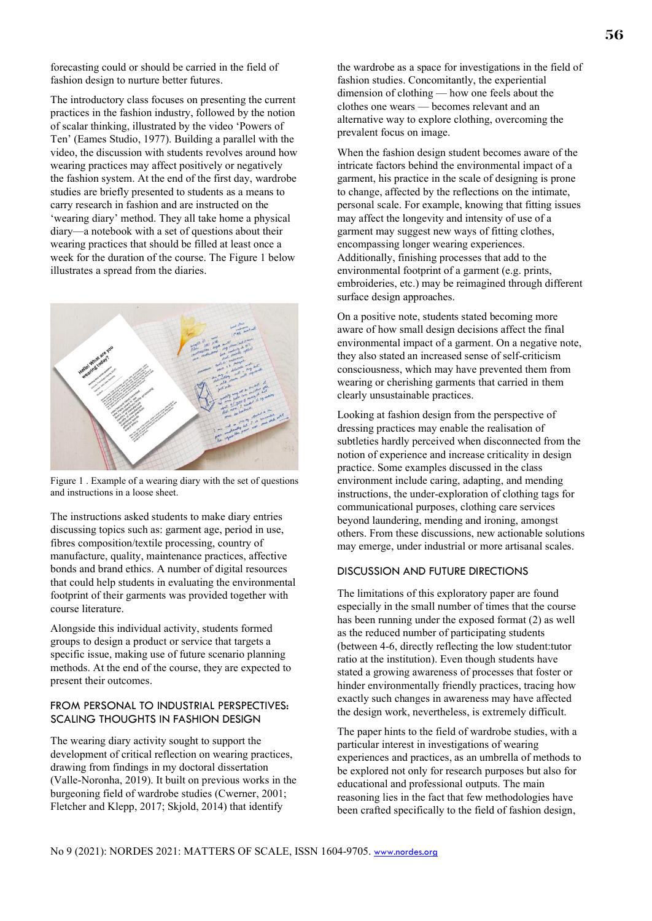forecasting could or should be carried in the field of fashion design to nurture better futures.

The introductory class focuses on presenting the current practices in the fashion industry, followed by the notion of scalar thinking, illustrated by the video 'Powers of Ten' (Eames Studio, 1977). Building a parallel with the video, the discussion with students revolves around how wearing practices may affect positively or negatively the fashion system. At the end of the first day, wardrobe studies are briefly presented to students as a means to carry research in fashion and are instructed on the 'wearing diary' method. They all take home a physical diary—a notebook with a set of questions about their wearing practices that should be filled at least once a week for the duration of the course. The Figure 1 below illustrates a spread from the diaries.



Figure 1 . Example of a wearing diary with the set of questions and instructions in a loose sheet.

The instructions asked students to make diary entries discussing topics such as: garment age, period in use, fibres composition/textile processing, country of manufacture, quality, maintenance practices, affective bonds and brand ethics. A number of digital resources that could help students in evaluating the environmental footprint of their garments was provided together with course literature.

Alongside this individual activity, students formed groups to design a product or service that targets a specific issue, making use of future scenario planning methods. At the end of the course, they are expected to present their outcomes.

## FROM PERSONAL TO INDUSTRIAL PERSPECTIVES: SCALING THOUGHTS IN FASHION DESIGN

The wearing diary activity sought to support the development of critical reflection on wearing practices, drawing from findings in my doctoral dissertation (Valle-Noronha, 2019). It built on previous works in the burgeoning field of wardrobe studies (Cwerner, 2001; Fletcher and Klepp, 2017; Skjold, 2014) that identify

the wardrobe as a space for investigations in the field of fashion studies. Concomitantly, the experiential dimension of clothing — how one feels about the clothes one wears — becomes relevant and an alternative way to explore clothing, overcoming the prevalent focus on image.

When the fashion design student becomes aware of the intricate factors behind the environmental impact of a garment, his practice in the scale of designing is prone to change, affected by the reflections on the intimate, personal scale. For example, knowing that fitting issues may affect the longevity and intensity of use of a garment may suggest new ways of fitting clothes, encompassing longer wearing experiences. Additionally, finishing processes that add to the environmental footprint of a garment (e.g. prints, embroideries, etc.) may be reimagined through different surface design approaches.

On a positive note, students stated becoming more aware of how small design decisions affect the final environmental impact of a garment. On a negative note, they also stated an increased sense of self-criticism consciousness, which may have prevented them from wearing or cherishing garments that carried in them clearly unsustainable practices.

Looking at fashion design from the perspective of dressing practices may enable the realisation of subtleties hardly perceived when disconnected from the notion of experience and increase criticality in design practice. Some examples discussed in the class environment include caring, adapting, and mending instructions, the under-exploration of clothing tags for communicational purposes, clothing care services beyond laundering, mending and ironing, amongst others. From these discussions, new actionable solutions may emerge, under industrial or more artisanal scales.

# DISCUSSION AND FUTURE DIRECTIONS

The limitations of this exploratory paper are found especially in the small number of times that the course has been running under the exposed format (2) as well as the reduced number of participating students (between 4-6, directly reflecting the low student:tutor ratio at the institution). Even though students have stated a growing awareness of processes that foster or hinder environmentally friendly practices, tracing how exactly such changes in awareness may have affected the design work, nevertheless, is extremely difficult.

The paper hints to the field of wardrobe studies, with a particular interest in investigations of wearing experiences and practices, as an umbrella of methods to be explored not only for research purposes but also for educational and professional outputs. The main reasoning lies in the fact that few methodologies have been crafted specifically to the field of fashion design,